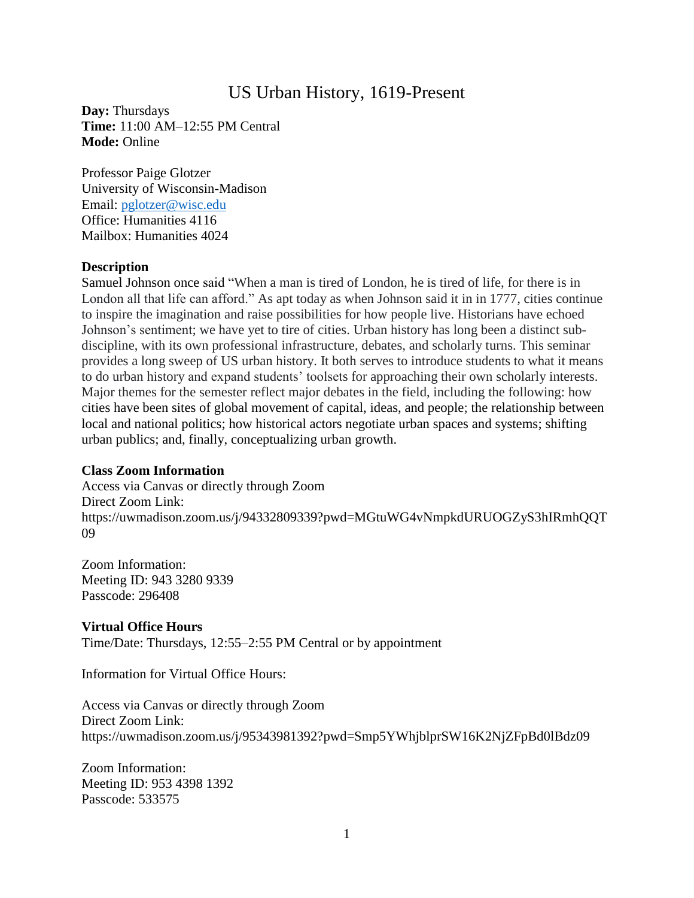# US Urban History, 1619-Present

**Day:** Thursdays **Time:** 11:00 AM–12:55 PM Central **Mode:** Online

Professor Paige Glotzer University of Wisconsin-Madison Email: [pglotzer@wisc.edu](mailto:pglotzer@wisc.edu) Office: Humanities 4116 Mailbox: Humanities 4024

#### **Description**

Samuel Johnson once said "When a man is tired of London, he is tired of life, for there is in London all that life can afford." As apt today as when Johnson said it in in 1777, cities continue to inspire the imagination and raise possibilities for how people live. Historians have echoed Johnson's sentiment; we have yet to tire of cities. Urban history has long been a distinct subdiscipline, with its own professional infrastructure, debates, and scholarly turns. This seminar provides a long sweep of US urban history. It both serves to introduce students to what it means to do urban history and expand students' toolsets for approaching their own scholarly interests. Major themes for the semester reflect major debates in the field, including the following: how cities have been sites of global movement of capital, ideas, and people; the relationship between local and national politics; how historical actors negotiate urban spaces and systems; shifting urban publics; and, finally, conceptualizing urban growth.

#### **Class Zoom Information**

Access via Canvas or directly through Zoom Direct Zoom Link: https://uwmadison.zoom.us/j/94332809339?pwd=MGtuWG4vNmpkdURUOGZyS3hIRmhQQT 09

Zoom Information: Meeting ID: 943 3280 9339 Passcode: 296408

#### **Virtual Office Hours**

Time/Date: Thursdays, 12:55–2:55 PM Central or by appointment

Information for Virtual Office Hours:

Access via Canvas or directly through Zoom Direct Zoom Link: https://uwmadison.zoom.us/j/95343981392?pwd=Smp5YWhjblprSW16K2NjZFpBd0lBdz09

Zoom Information: Meeting ID: 953 4398 1392 Passcode: 533575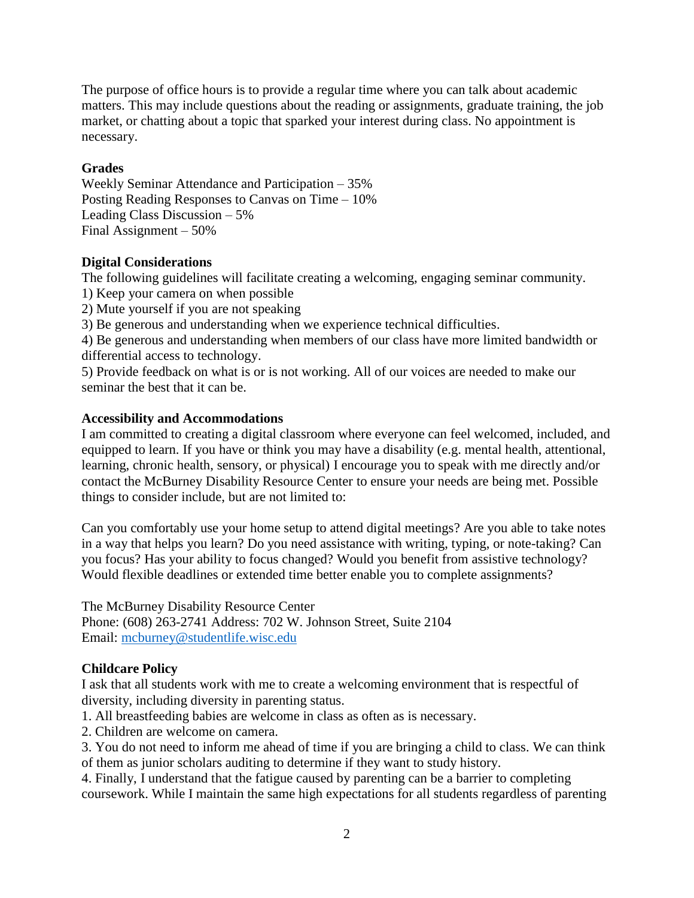The purpose of office hours is to provide a regular time where you can talk about academic matters. This may include questions about the reading or assignments, graduate training, the job market, or chatting about a topic that sparked your interest during class. No appointment is necessary.

### **Grades**

Weekly Seminar Attendance and Participation – 35% Posting Reading Responses to Canvas on Time – 10% Leading Class Discussion – 5% Final Assignment – 50%

### **Digital Considerations**

The following guidelines will facilitate creating a welcoming, engaging seminar community.

- 1) Keep your camera on when possible
- 2) Mute yourself if you are not speaking

3) Be generous and understanding when we experience technical difficulties.

4) Be generous and understanding when members of our class have more limited bandwidth or differential access to technology.

5) Provide feedback on what is or is not working. All of our voices are needed to make our seminar the best that it can be.

### **Accessibility and Accommodations**

I am committed to creating a digital classroom where everyone can feel welcomed, included, and equipped to learn. If you have or think you may have a disability (e.g. mental health, attentional, learning, chronic health, sensory, or physical) I encourage you to speak with me directly and/or contact the McBurney Disability Resource Center to ensure your needs are being met. Possible things to consider include, but are not limited to:

Can you comfortably use your home setup to attend digital meetings? Are you able to take notes in a way that helps you learn? Do you need assistance with writing, typing, or note-taking? Can you focus? Has your ability to focus changed? Would you benefit from assistive technology? Would flexible deadlines or extended time better enable you to complete assignments?

The McBurney Disability Resource Center Phone: (608) 263-2741 Address: 702 W. Johnson Street, Suite 2104 Email: [mcburney@studentlife.wisc.edu](mailto:mcburney@studentlife.wisc.edu)

# **Childcare Policy**

I ask that all students work with me to create a welcoming environment that is respectful of diversity, including diversity in parenting status.

- 1. All breastfeeding babies are welcome in class as often as is necessary.
- 2. Children are welcome on camera.
- 3. You do not need to inform me ahead of time if you are bringing a child to class. We can think of them as junior scholars auditing to determine if they want to study history.

4. Finally, I understand that the fatigue caused by parenting can be a barrier to completing coursework. While I maintain the same high expectations for all students regardless of parenting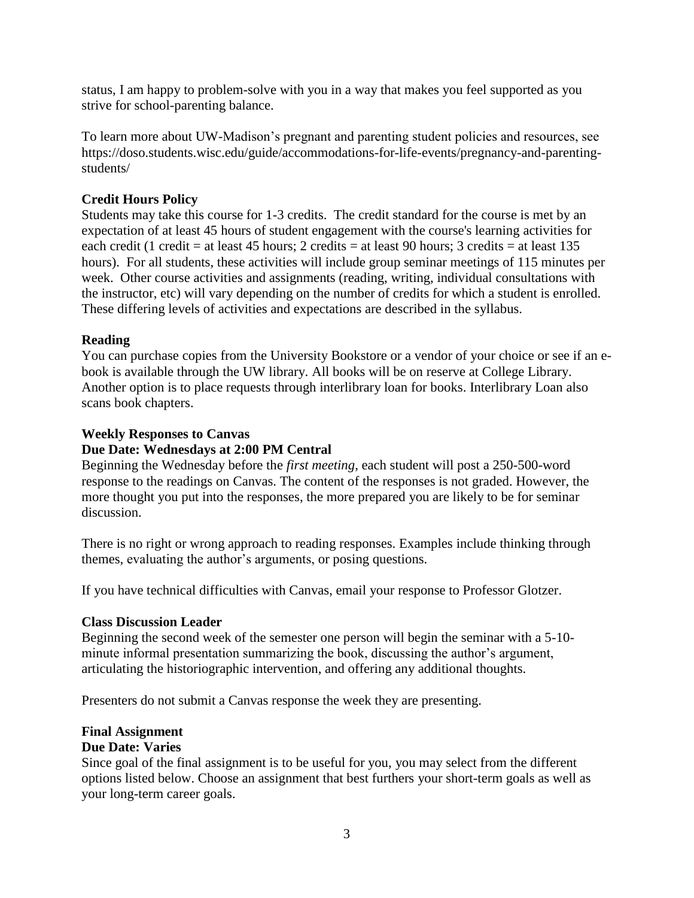status, I am happy to problem-solve with you in a way that makes you feel supported as you strive for school-parenting balance.

To learn more about UW-Madison's pregnant and parenting student policies and resources, see https://doso.students.wisc.edu/guide/accommodations-for-life-events/pregnancy-and-parentingstudents/

### **Credit Hours Policy**

Students may take this course for 1-3 credits. The credit standard for the course is met by an expectation of at least 45 hours of student engagement with the course's learning activities for each credit (1 credit = at least 45 hours; 2 credits = at least 90 hours; 3 credits = at least 135 hours). For all students, these activities will include group seminar meetings of 115 minutes per week. Other course activities and assignments (reading, writing, individual consultations with the instructor, etc) will vary depending on the number of credits for which a student is enrolled. These differing levels of activities and expectations are described in the syllabus.

#### **Reading**

You can purchase copies from the University Bookstore or a vendor of your choice or see if an ebook is available through the UW library. All books will be on reserve at College Library. Another option is to place requests through interlibrary loan for books. Interlibrary Loan also scans book chapters.

#### **Weekly Responses to Canvas**

#### **Due Date: Wednesdays at 2:00 PM Central**

Beginning the Wednesday before the *first meeting*, each student will post a 250-500-word response to the readings on Canvas. The content of the responses is not graded. However, the more thought you put into the responses, the more prepared you are likely to be for seminar discussion.

There is no right or wrong approach to reading responses. Examples include thinking through themes, evaluating the author's arguments, or posing questions.

If you have technical difficulties with Canvas, email your response to Professor Glotzer.

#### **Class Discussion Leader**

Beginning the second week of the semester one person will begin the seminar with a 5-10 minute informal presentation summarizing the book, discussing the author's argument, articulating the historiographic intervention, and offering any additional thoughts.

Presenters do not submit a Canvas response the week they are presenting.

#### **Final Assignment**

#### **Due Date: Varies**

Since goal of the final assignment is to be useful for you, you may select from the different options listed below. Choose an assignment that best furthers your short-term goals as well as your long-term career goals.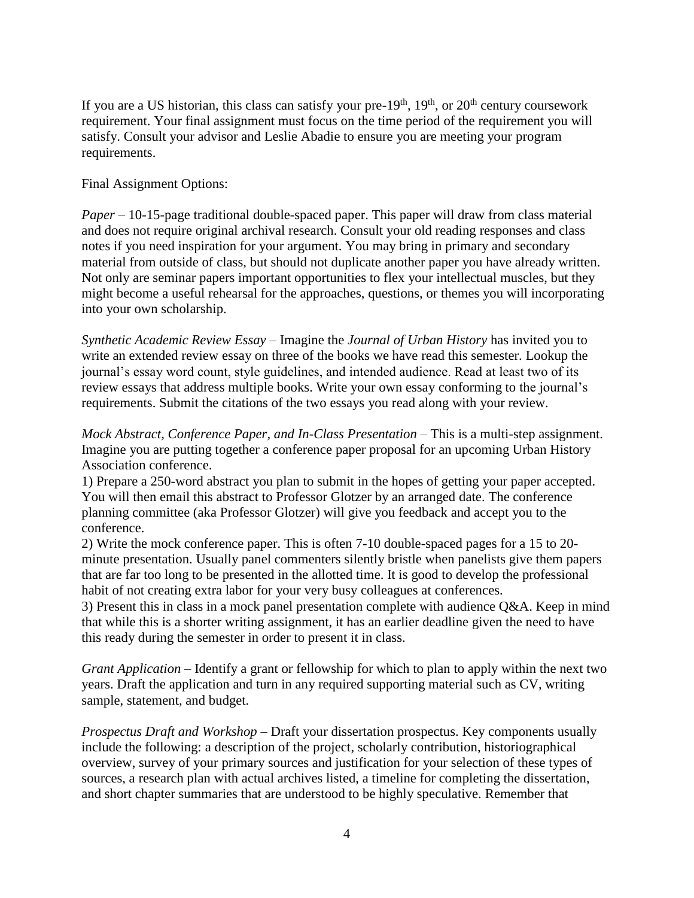If you are a US historian, this class can satisfy your pre- $19<sup>th</sup>$ ,  $19<sup>th</sup>$ , or  $20<sup>th</sup>$  century coursework requirement. Your final assignment must focus on the time period of the requirement you will satisfy. Consult your advisor and Leslie Abadie to ensure you are meeting your program requirements.

#### Final Assignment Options:

*Paper* – 10-15-page traditional double-spaced paper. This paper will draw from class material and does not require original archival research. Consult your old reading responses and class notes if you need inspiration for your argument. You may bring in primary and secondary material from outside of class, but should not duplicate another paper you have already written. Not only are seminar papers important opportunities to flex your intellectual muscles, but they might become a useful rehearsal for the approaches, questions, or themes you will incorporating into your own scholarship.

*Synthetic Academic Review Essay* – Imagine the *Journal of Urban History* has invited you to write an extended review essay on three of the books we have read this semester. Lookup the journal's essay word count, style guidelines, and intended audience. Read at least two of its review essays that address multiple books. Write your own essay conforming to the journal's requirements. Submit the citations of the two essays you read along with your review.

*Mock Abstract, Conference Paper, and In-Class Presentation* – This is a multi-step assignment. Imagine you are putting together a conference paper proposal for an upcoming Urban History Association conference.

1) Prepare a 250-word abstract you plan to submit in the hopes of getting your paper accepted. You will then email this abstract to Professor Glotzer by an arranged date. The conference planning committee (aka Professor Glotzer) will give you feedback and accept you to the conference.

2) Write the mock conference paper. This is often 7-10 double-spaced pages for a 15 to 20 minute presentation. Usually panel commenters silently bristle when panelists give them papers that are far too long to be presented in the allotted time. It is good to develop the professional habit of not creating extra labor for your very busy colleagues at conferences.

3) Present this in class in a mock panel presentation complete with audience Q&A. Keep in mind that while this is a shorter writing assignment, it has an earlier deadline given the need to have this ready during the semester in order to present it in class.

*Grant Application* – Identify a grant or fellowship for which to plan to apply within the next two years. Draft the application and turn in any required supporting material such as CV, writing sample, statement, and budget.

*Prospectus Draft and Workshop* – Draft your dissertation prospectus. Key components usually include the following: a description of the project, scholarly contribution, historiographical overview, survey of your primary sources and justification for your selection of these types of sources, a research plan with actual archives listed, a timeline for completing the dissertation, and short chapter summaries that are understood to be highly speculative. Remember that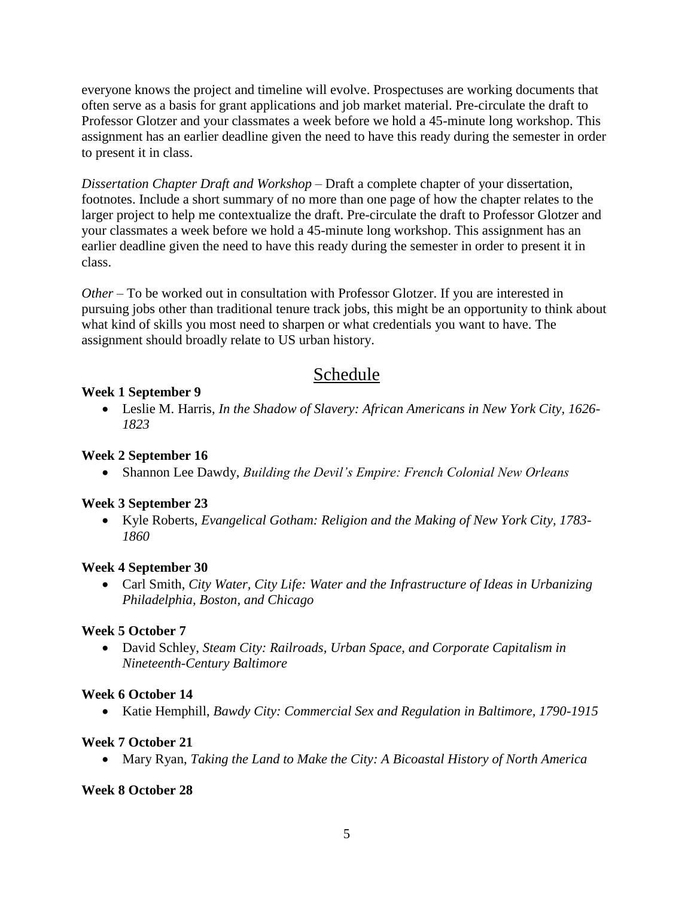everyone knows the project and timeline will evolve. Prospectuses are working documents that often serve as a basis for grant applications and job market material. Pre-circulate the draft to Professor Glotzer and your classmates a week before we hold a 45-minute long workshop. This assignment has an earlier deadline given the need to have this ready during the semester in order to present it in class.

*Dissertation Chapter Draft and Workshop* – Draft a complete chapter of your dissertation, footnotes. Include a short summary of no more than one page of how the chapter relates to the larger project to help me contextualize the draft. Pre-circulate the draft to Professor Glotzer and your classmates a week before we hold a 45-minute long workshop. This assignment has an earlier deadline given the need to have this ready during the semester in order to present it in class.

*Other* – To be worked out in consultation with Professor Glotzer. If you are interested in pursuing jobs other than traditional tenure track jobs, this might be an opportunity to think about what kind of skills you most need to sharpen or what credentials you want to have. The assignment should broadly relate to US urban history.

# Schedule

# **Week 1 September 9**

• Leslie M. Harris, *In the Shadow of Slavery: African Americans in New York City, 1626- 1823*

# **Week 2 September 16**

• Shannon Lee Dawdy, *Building the Devil's Empire: French Colonial New Orleans*

# **Week 3 September 23**

• Kyle Roberts, *Evangelical Gotham: Religion and the Making of New York City, 1783- 1860*

# **Week 4 September 30**

• Carl Smith, *City Water, City Life: Water and the Infrastructure of Ideas in Urbanizing Philadelphia, Boston, and Chicago*

# **Week 5 October 7**

• David Schley, *Steam City: Railroads, Urban Space, and Corporate Capitalism in Nineteenth-Century Baltimore*

# **Week 6 October 14**

• Katie Hemphill, *Bawdy City: Commercial Sex and Regulation in Baltimore, 1790-1915*

# **Week 7 October 21**

• Mary Ryan, *Taking the Land to Make the City: A Bicoastal History of North America*

# **Week 8 October 28**